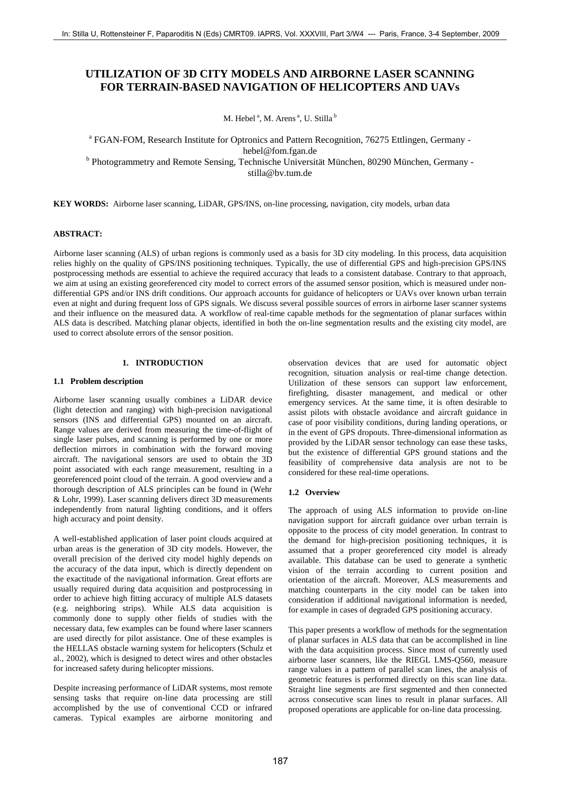# **UTILIZATION OF 3D CITY MODELS AND AIRBORNE LASER SCANNING FOR TERRAIN-BASED NAVIGATION OF HELICOPTERS AND UAVs**

M. Hebel<sup>a</sup>, M. Arens<sup>a</sup>, U. Stilla<sup>b</sup>

<sup>a</sup> FGAN-FOM, Research Institute for Optronics and Pattern Recognition, 76275 Ettlingen, Germany hebel@fom.fgan.de <sup>b</sup> Photogrammetry and Remote Sensing, Technische Universität München, 80290 München, Germany stilla@bv.tum.de

**KEY WORDS:** Airborne laser scanning, LiDAR, GPS/INS, on-line processing, navigation, city models, urban data

### **ABSTRACT:**

Airborne laser scanning (ALS) of urban regions is commonly used as a basis for 3D city modeling. In this process, data acquisition relies highly on the quality of GPS/INS positioning techniques. Typically, the use of differential GPS and high-precision GPS/INS postprocessing methods are essential to achieve the required accuracy that leads to a consistent database. Contrary to that approach, we aim at using an existing georeferenced city model to correct errors of the assumed sensor position, which is measured under nondifferential GPS and/or INS drift conditions. Our approach accounts for guidance of helicopters or UAVs over known urban terrain even at night and during frequent loss of GPS signals. We discuss several possible sources of errors in airborne laser scanner systems and their influence on the measured data. A workflow of real-time capable methods for the segmentation of planar surfaces within ALS data is described. Matching planar objects, identified in both the on-line segmentation results and the existing city model, are used to correct absolute errors of the sensor position. 187 Still Universe in Facebook 167 September 197 September 197 September 197 September 197 NG TERRAIN-PASSES CONTROL AND EXPRESS CANDING TO THE TRANSPORT TO THE CONTROL AND TAXE IS CONTROL AND TAXE IS CONTROL AND TAXE IS

# **1. INTRODUCTION**

### **1.1 Problem description**

Airborne laser scanning usually combines a LiDAR device (light detection and ranging) with high-precision navigational sensors (INS and differential GPS) mounted on an aircraft. Range values are derived from measuring the time-of-flight of single laser pulses, and scanning is performed by one or more deflection mirrors in combination with the forward moving aircraft. The navigational sensors are used to obtain the 3D point associated with each range measurement, resulting in a georeferenced point cloud of the terrain. A good overview and a thorough description of ALS principles can be found in (Wehr & Lohr, 1999). Laser scanning delivers direct 3D measurements independently from natural lighting conditions, and it offers high accuracy and point density.

A well-established application of laser point clouds acquired at urban areas is the generation of 3D city models. However, the overall precision of the derived city model highly depends on the accuracy of the data input, which is directly dependent on the exactitude of the navigational information. Great efforts are usually required during data acquisition and postprocessing in order to achieve high fitting accuracy of multiple ALS datasets (e.g. neighboring strips). While ALS data acquisition is commonly done to supply other fields of studies with the necessary data, few examples can be found where laser scanners are used directly for pilot assistance. One of these examples is the HELLAS obstacle warning system for helicopters (Schulz et al., 2002), which is designed to detect wires and other obstacles for increased safety during helicopter missions.

Despite increasing performance of LiDAR systems, most remote sensing tasks that require on-line data processing are still accomplished by the use of conventional CCD or infrared cameras. Typical examples are airborne monitoring and observation devices that are used for automatic object recognition, situation analysis or real-time change detection. Utilization of these sensors can support law enforcement, firefighting, disaster management, and medical or other emergency services. At the same time, it is often desirable to assist pilots with obstacle avoidance and aircraft guidance in case of poor visibility conditions, during landing operations, or in the event of GPS dropouts. Three-dimensional information as provided by the LiDAR sensor technology can ease these tasks, but the existence of differential GPS ground stations and the feasibility of comprehensive data analysis are not to be considered for these real-time operations.

# **1.2 Overview**

The approach of using ALS information to provide on-line navigation support for aircraft guidance over urban terrain is opposite to the process of city model generation. In contrast to the demand for high-precision positioning techniques, it is assumed that a proper georeferenced city model is already available. This database can be used to generate a synthetic vision of the terrain according to current position and orientation of the aircraft. Moreover, ALS measurements and matching counterparts in the city model can be taken into consideration if additional navigational information is needed, for example in cases of degraded GPS positioning accuracy.

This paper presents a workflow of methods for the segmentation of planar surfaces in ALS data that can be accomplished in line with the data acquisition process. Since most of currently used airborne laser scanners, like the RIEGL LMS-Q560, measure range values in a pattern of parallel scan lines, the analysis of geometric features is performed directly on this scan line data. Straight line segments are first segmented and then connected across consecutive scan lines to result in planar surfaces. All proposed operations are applicable for on-line data processing.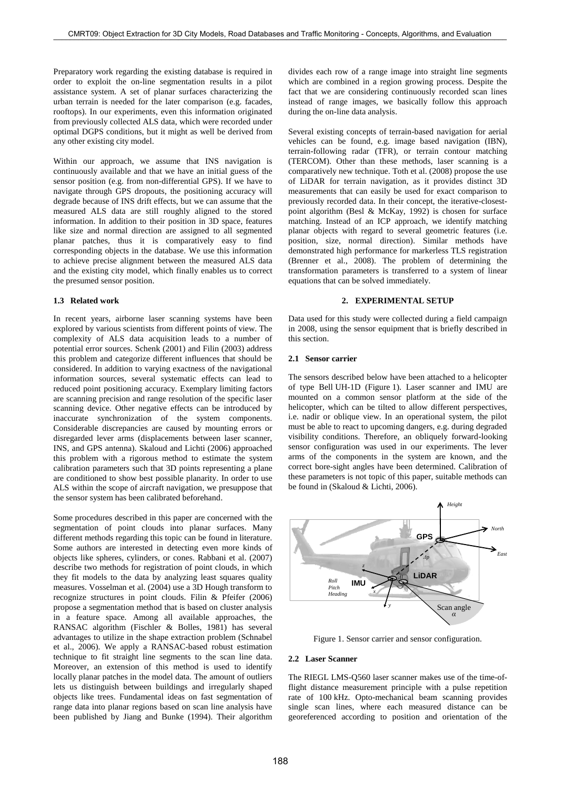Preparatory work regarding the existing database is required in order to exploit the on-line segmentation results in a pilot assistance system. A set of planar surfaces characterizing the urban terrain is needed for the later comparison (e.g. facades, rooftops). In our experiments, even this information originated from previously collected ALS data, which were recorded under optimal DGPS conditions, but it might as well be derived from any other existing city model.

Within our approach, we assume that INS navigation is continuously available and that we have an initial guess of the sensor position (e.g. from non-differential GPS). If we have to navigate through GPS dropouts, the positioning accuracy will degrade because of INS drift effects, but we can assume that the measured ALS data are still roughly aligned to the stored information. In addition to their position in 3D space, features like size and normal direction are assigned to all segmented planar patches, thus it is comparatively easy to find corresponding objects in the database. We use this information to achieve precise alignment between the measured ALS data and the existing city model, which finally enables us to correct the presumed sensor position.

## **1.3 Related work**

In recent years, airborne laser scanning systems have been explored by various scientists from different points of view. The complexity of ALS data acquisition leads to a number of potential error sources. Schenk (2001) and Filin (2003) address this problem and categorize different influences that should be considered. In addition to varying exactness of the navigational information sources, several systematic effects can lead to reduced point positioning accuracy. Exemplary limiting factors are scanning precision and range resolution of the specific laser scanning device. Other negative effects can be introduced by inaccurate synchronization of the system components. Considerable discrepancies are caused by mounting errors or disregarded lever arms (displacements between laser scanner, INS, and GPS antenna). Skaloud and Lichti (2006) approached this problem with a rigorous method to estimate the system calibration parameters such that 3D points representing a plane are conditioned to show best possible planarity. In order to use ALS within the scope of aircraft navigation, we presuppose that the sensor system has been calibrated beforehand.

Some procedures described in this paper are concerned with the segmentation of point clouds into planar surfaces. Many different methods regarding this topic can be found in literature. Some authors are interested in detecting even more kinds of objects like spheres, cylinders, or cones. Rabbani et al. (2007) describe two methods for registration of point clouds, in which they fit models to the data by analyzing least squares quality measures. Vosselman et al. (2004) use a 3D Hough transform to recognize structures in point clouds. Filin & Pfeifer (2006) propose a segmentation method that is based on cluster analysis in a feature space. Among all available approaches, the RANSAC algorithm (Fischler & Bolles, 1981) has several advantages to utilize in the shape extraction problem (Schnabel et al., 2006). We apply a RANSAC-based robust estimation technique to fit straight line segments to the scan line data. Moreover, an extension of this method is used to identify locally planar patches in the model data. The amount of outliers lets us distinguish between buildings and irregularly shaped objects like trees. Fundamental ideas on fast segmentation of range data into planar regions based on scan line analysis have been published by Jiang and Bunke (1994). Their algorithm 1880. Object Extraction For Street weak and the street of the Street of the Street of the Street of the Street of the Street of the Street of the Street of the Street of the Street of the Street of the Street of the Stre

divides each row of a range image into straight line segments which are combined in a region growing process. Despite the fact that we are considering continuously recorded scan lines instead of range images, we basically follow this approach during the on-line data analysis.

Several existing concepts of terrain-based navigation for aerial vehicles can be found, e.g. image based navigation (IBN), terrain-following radar (TFR), or terrain contour matching (TERCOM). Other than these methods, laser scanning is a comparatively new technique. Toth et al. (2008) propose the use of LiDAR for terrain navigation, as it provides distinct 3D measurements that can easily be used for exact comparison to previously recorded data. In their concept, the iterative-closestpoint algorithm (Besl & McKay, 1992) is chosen for surface matching. Instead of an ICP approach, we identify matching planar objects with regard to several geometric features (i.e. position, size, normal direction). Similar methods have demonstrated high performance for markerless TLS registration (Brenner et al., 2008). The problem of determining the transformation parameters is transferred to a system of linear equations that can be solved immediately.

### **2. EXPERIMENTAL SETUP**

Data used for this study were collected during a field campaign in 2008, using the sensor equipment that is briefly described in this section.

#### **2.1 Sensor carrier**

The sensors described below have been attached to a helicopter of type Bell UH-1D (Figure 1). Laser scanner and IMU are mounted on a common sensor platform at the side of the helicopter, which can be tilted to allow different perspectives, i.e. nadir or oblique view. In an operational system, the pilot must be able to react to upcoming dangers, e.g. during degraded visibility conditions. Therefore, an obliquely forward-looking sensor configuration was used in our experiments. The lever arms of the components in the system are known, and the correct bore-sight angles have been determined. Calibration of these parameters is not topic of this paper, suitable methods can be found in (Skaloud & Lichti, 2006).



Figure 1. Sensor carrier and sensor configuration.

### **2.2 Laser Scanner**

The RIEGL LMS-Q560 laser scanner makes use of the time-offlight distance measurement principle with a pulse repetition rate of 100 kHz. Opto-mechanical beam scanning provides single scan lines, where each measured distance can be georeferenced according to position and orientation of the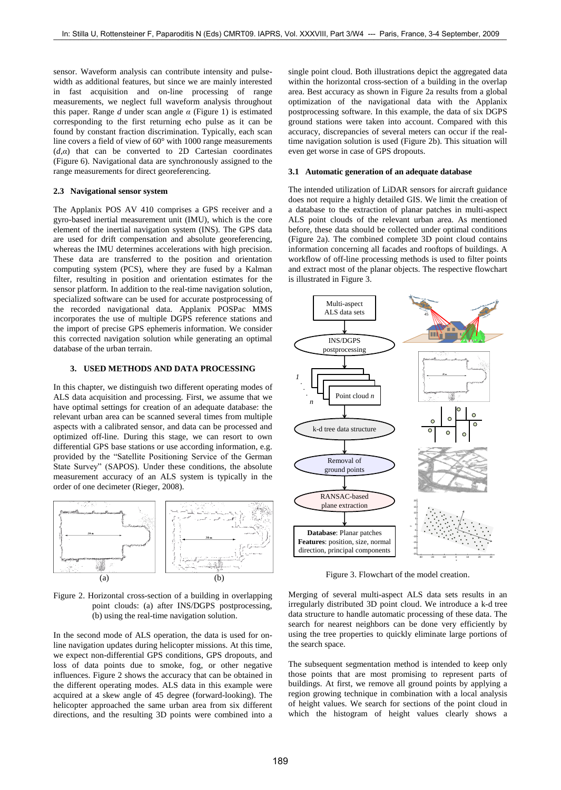sensor. Waveform analysis can contribute intensity and pulsewidth as additional features, but since we are mainly interested in fast acquisition and on-line processing of range measurements, we neglect full waveform analysis throughout this paper. Range *d* under scan angle *α* (Figure 1) is estimated corresponding to the first returning echo pulse as it can be found by constant fraction discrimination. Typically, each scan line covers a field of view of 60° with 1000 range measurements (*d*,*α*) that can be converted to 2D Cartesian coordinates (Figure 6). Navigational data are synchronously assigned to the range measurements for direct georeferencing.

### **2.3 Navigational sensor system**

The Applanix POS AV 410 comprises a GPS receiver and a gyro-based inertial measurement unit (IMU), which is the core element of the inertial navigation system (INS). The GPS data are used for drift compensation and absolute georeferencing, whereas the IMU determines accelerations with high precision. These data are transferred to the position and orientation computing system (PCS), where they are fused by a Kalman filter, resulting in position and orientation estimates for the sensor platform. In addition to the real-time navigation solution, specialized software can be used for accurate postprocessing of the recorded navigational data. Applanix POSPac MMS incorporates the use of multiple DGPS reference stations and the import of precise GPS ephemeris information. We consider this corrected navigation solution while generating an optimal database of the urban terrain.

# **3. USED METHODS AND DATA PROCESSING**

In this chapter, we distinguish two different operating modes of ALS data acquisition and processing. First, we assume that we have optimal settings for creation of an adequate database: the relevant urban area can be scanned several times from multiple aspects with a calibrated sensor, and data can be processed and optimized off-line. During this stage, we can resort to own differential GPS base stations or use according information, e.g. provided by the "Satellite Positioning Service of the German State Survey" (SAPOS). Under these conditions, the absolute measurement accuracy of an ALS system is typically in the order of one decimeter (Rieger, 2008).



Figure 2. Horizontal cross-section of a building in overlapping point clouds: (a) after INS/DGPS postprocessing, (b) using the real-time navigation solution.

In the second mode of ALS operation, the data is used for online navigation updates during helicopter missions. At this time, we expect non-differential GPS conditions, GPS dropouts, and loss of data points due to smoke, fog, or other negative influences. Figure 2 shows the accuracy that can be obtained in the different operating modes. ALS data in this example were acquired at a skew angle of 45 degree (forward-looking). The helicopter approached the same urban area from six different directions, and the resulting 3D points were combined into a single point cloud. Both illustrations depict the aggregated data within the horizontal cross-section of a building in the overlap area. Best accuracy as shown in Figure 2a results from a global optimization of the navigational data with the Applanix postprocessing software. In this example, the data of six DGPS ground stations were taken into account. Compared with this accuracy, discrepancies of several meters can occur if the realtime navigation solution is used (Figure 2b). This situation will even get worse in case of GPS dropouts.

## <span id="page-2-0"></span>**3.1 Automatic generation of an adequate database**

The intended utilization of LiDAR sensors for aircraft guidance does not require a highly detailed GIS. We limit the creation of a database to the extraction of planar patches in multi-aspect ALS point clouds of the relevant urban area. As mentioned before, these data should be collected under optimal conditions (Figure 2a). The combined complete 3D point cloud contains information concerning all facades and rooftops of buildings. A workflow of off-line processing methods is used to filter points and extract most of the planar objects. The respective flowchart is illustrated in Figure 3.



Figure 3. Flowchart of the model creation.

Merging of several multi-aspect ALS data sets results in an irregularly distributed 3D point cloud. We introduce a k-d tree data structure to handle automatic processing of these data. The search for nearest neighbors can be done very efficiently by using the tree properties to quickly eliminate large portions of the search space.

The subsequent segmentation method is intended to keep only those points that are most promising to represent parts of buildings. At first, we remove all ground points by applying a region growing technique in combination with a local analysis of height values. We search for sections of the point cloud in which the histogram of height values clearly shows a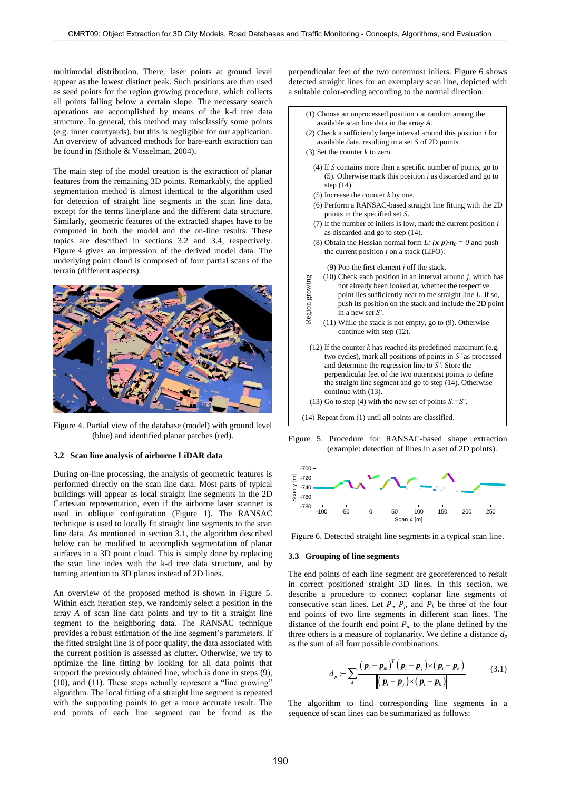multimodal distribution. There, laser points at ground level appear as the lowest distinct peak. Such positions are then used as seed points for the region growing procedure, which collects all points falling below a certain slope. The necessary search operations are accomplished by means of the k-d tree data structure. In general, this method may misclassify some points (e.g. inner courtyards), but this is negligible for our application. An overview of advanced methods for bare-earth extraction can be found in (Sithole & Vosselman, 2004).

The main step of the model creation is the extraction of planar features from the remaining 3D points. Remarkably, the applied segmentation method is almost identical to the algorithm used for detection of straight line segments in the scan line data, except for the terms line/plane and the different data structure. Similarly, geometric features of the extracted shapes have to be computed in both the model and the on-line results. These topics are described in sections [3.2](#page-3-0) and [3.4,](#page-4-0) respectively. Figure 4 gives an impression of the derived model data. The underlying point cloud is composed of four partial scans of the terrain (different aspects).



Figure 4. Partial view of the database (model) with ground level (blue) and identified planar patches (red).

### <span id="page-3-0"></span>**3.2 Scan line analysis of airborne LiDAR data**

During on-line processing, the analysis of geometric features is performed directly on the scan line data. Most parts of typical buildings will appear as local straight line segments in the 2D Cartesian representation, even if the airborne laser scanner is used in oblique configuration (Figure 1). The RANSAC technique is used to locally fit straight line segments to the scan line data. As mentioned in section [3.1,](#page-2-0) the algorithm described below can be modified to accomplish segmentation of planar surfaces in a 3D point cloud. This is simply done by replacing the scan line index with the k-d tree data structure, and by turning attention to 3D planes instead of 2D lines.

An overview of the proposed method is shown in Figure 5. Within each iteration step, we randomly select a position in the array *A* of scan line data points and try to fit a straight line segment to the neighboring data. The RANSAC technique provides a robust estimation of the line segment's parameters. If the fitted straight line is of poor quality, the data associated with the current position is assessed as clutter. Otherwise, we try to optimize the line fitting by looking for all data points that support the previously obtained line, which is done in steps [\(9\),](#page-3-1) [\(10\),](#page-3-2) and [\(11\).](#page-3-3) These steps actually represent a "line growing" algorithm. The local fitting of a straight line segment is repeated with the supporting points to get a more accurate result. The end points of each line segment can be found as the

<span id="page-3-9"></span><span id="page-3-8"></span><span id="page-3-4"></span>perpendicular feet of the two outermost inliers. Figure 6 shows detected straight lines for an exemplary scan line, depicted with a suitable color-coding according to the normal direction.



<span id="page-3-7"></span><span id="page-3-6"></span><span id="page-3-5"></span><span id="page-3-3"></span><span id="page-3-2"></span><span id="page-3-1"></span>Figure 5. Procedure for RANSAC-based shape extraction (example: detection of lines in a set of 2D points).



Figure 6. Detected straight line segments in a typical scan line.

### **3.3 Grouping of line segments**

The end points of each line segment are georeferenced to result in correct positioned straight 3D lines. In this section, we describe a procedure to connect coplanar line segments of consecutive scan lines. Let  $P_i$ ,  $P_j$ , and  $P_k$  be three of the four end points of two line segments in different scan lines. The distance of the fourth end point  $P_m$  to the plane defined by the three others is a measure of coplanarity. We define a distance  $d_p$ as the sum of all four possible combinations:

$$
d_p := \sum_{4} \frac{\left| \left( \boldsymbol{p}_i - \boldsymbol{p}_m \right)^T \left( \boldsymbol{p}_i - \boldsymbol{p}_j \right) \times \left( \boldsymbol{p}_i - \boldsymbol{p}_k \right) \right|}{\left\| \left( \boldsymbol{p}_i - \boldsymbol{p}_j \right) \times \left( \boldsymbol{p}_i - \boldsymbol{p}_k \right) \right\|}
$$
(3.1)

The algorithm to find corresponding line segments in a sequence of scan lines can be summarized as follows: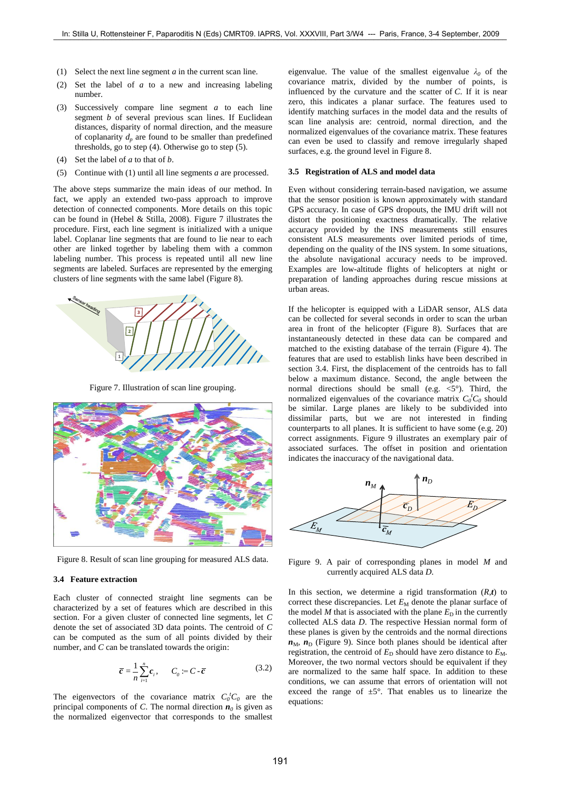- <span id="page-4-3"></span>(1) Select the next line segment *a* in the current scan line.
- (2) Set the label of *a* to a new and increasing labeling number.
- (3) Successively compare line segment *a* to each line segment *b* of several previous scan lines. If Euclidean distances, disparity of normal direction, and the measure of coplanarity  $d_p$  are found to be smaller than predefined thresholds, go to ste[p \(4\).](#page-4-1) Otherwise go to step [\(5\).](#page-4-2)
- <span id="page-4-1"></span>(4) Set the label of *a* to that of *b*.
- <span id="page-4-2"></span>(5) Continue with [\(1\)](#page-4-3) until all line segments *a* are processed.

The above steps summarize the main ideas of our method. In fact, we apply an extended two-pass approach to improve detection of connected components. More details on this topic can be found in (Hebel & Stilla, 2008). Figure 7 illustrates the procedure. First, each line segment is initialized with a unique label. Coplanar line segments that are found to lie near to each other are linked together by labeling them with a common labeling number. This process is repeated until all new line segments are labeled. Surfaces are represented by the emerging clusters of line segments with the same label (Figure 8).



Figure 7. Illustration of scan line grouping.



Figure 8. Result of scan line grouping for measured ALS data.

### <span id="page-4-0"></span>**3.4 Feature extraction**

Each cluster of connected straight line segments can be characterized by a set of features which are described in this section. For a given cluster of connected line segments, let *C* denote the set of associated 3D data points. The centroid of *C* can be computed as the sum of all points divided by their number, and *C* can be translated towards the origin:

$$
\overline{c} = \frac{1}{n} \sum_{i=1}^{n} c_i, \qquad C_0 := C - \overline{c}
$$
 (3.2)

The eigenvectors of the covariance matrix  $C_0^t C_0$  are the principal components of *C*. The normal direction  $n_0$  is given as the normalized eigenvector that corresponds to the smallest

eigenvalue. The value of the smallest eigenvalue  $\lambda_0$  of the covariance matrix, divided by the number of points, is influenced by the curvature and the scatter of *C*. If it is near zero, this indicates a planar surface. The features used to identify matching surfaces in the model data and the results of scan line analysis are: centroid, normal direction, and the normalized eigenvalues of the covariance matrix. These features can even be used to classify and remove irregularly shaped surfaces, e.g. the ground level in Figure 8.

### **3.5 Registration of ALS and model data**

Even without considering terrain-based navigation, we assume that the sensor position is known approximately with standard GPS accuracy. In case of GPS dropouts, the IMU drift will not distort the positioning exactness dramatically. The relative accuracy provided by the INS measurements still ensures consistent ALS measurements over limited periods of time, depending on the quality of the INS system. In some situations, the absolute navigational accuracy needs to be improved. Examples are low-altitude flights of helicopters at night or preparation of landing approaches during rescue missions at urban areas.

If the helicopter is equipped with a LiDAR sensor, ALS data can be collected for several seconds in order to scan the urban area in front of the helicopter (Figure 8). Surfaces that are instantaneously detected in these data can be compared and matched to the existing database of the terrain (Figure 4). The features that are used to establish links have been described in section [3.4.](#page-4-0) First, the displacement of the centroids has to fall below a maximum distance. Second, the angle between the normal directions should be small (e.g.  $\lt 5^\circ$ ). Third, the normalized eigenvalues of the covariance matrix  $C_0^t C_0$  should be similar. Large planes are likely to be subdivided into dissimilar parts, but we are not interested in finding counterparts to all planes. It is sufficient to have some (e.g. 20) correct assignments. Figure 9 illustrates an exemplary pair of associated surfaces. The offset in position and orientation indicates the inaccuracy of the navigational data.



Figure 9. A pair of corresponding planes in model *M* and currently acquired ALS data *D*.

In this section, we determine a rigid transformation  $(R,t)$  to correct these discrepancies. Let  $E_M$  denote the planar surface of the model *M* that is associated with the plane  $E<sub>D</sub>$  in the currently collected ALS data *D*. The respective Hessian normal form of these planes is given by the centroids and the normal directions  $n_{\text{M}}$ ,  $n_{\text{D}}$  (Figure 9). Since both planes should be identical after registration, the centroid of  $E<sub>D</sub>$  should have zero distance to  $E<sub>M</sub>$ . Moreover, the two normal vectors should be equivalent if they are normalized to the same half space. In addition to these conditions, we can assume that errors of orientation will not exceed the range of  $\pm 5^{\circ}$ . That enables us to linearize the equations: